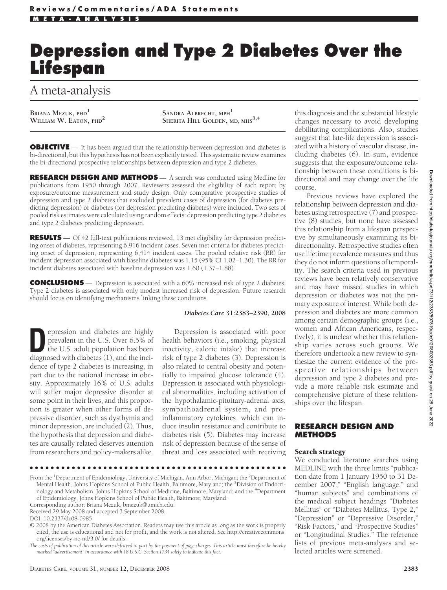# **Depression and Type 2 Diabetes Over the Lifespan**

# A meta-analysis

Briana Mezuk, phd<sup>1</sup><br>William W. Eaton, phd<sup>2</sup>

 $S$ ANDRA **ALBRECHT**, MPH<sup>1</sup> **SHERITA HILL GOLDEN, MD, MHS3,4**

**OBJECTIVE** — It has been argued that the relationship between depression and diabetes is bi-directional, but this hypothesis has not been explicitly tested. This systematic review examines the bi-directional prospective relationships between depression and type 2 diabetes.

**RESEARCH DESIGN AND METHODS** — A search was conducted using Medline for publications from 1950 through 2007. Reviewers assessed the eligibility of each report by exposure/outcome measurement and study design. Only comparative prospective studies of depression and type 2 diabetes that excluded prevalent cases of depression (for diabetes predicting depression) or diabetes (for depression predicting diabetes) were included. Two sets of pooled risk estimates were calculated using random effects: depression predicting type 2 diabetes and type 2 diabetes predicting depression.

**RESULTS** — Of 42 full-text publications reviewed, 13 met eligibility for depression predicting onset of diabetes, representing 6,916 incident cases. Seven met criteria for diabetes predicting onset of depression, representing 6,414 incident cases. The pooled relative risk (RR) for incident depression associated with baseline diabetes was 1.15 (95% CI 1.02–1.30). The RR for incident diabetes associated with baseline depression was 1.60 (1.37–1.88).

**CONCLUSIONS** — Depression is associated with a 60% increased risk of type 2 diabetes. Type 2 diabetes is associated with only modest increased risk of depression. Future research should focus on identifying mechanisms linking these conditions.

**Depression and diabetes are highly<br>prevalent in the U.S. Over 6.5% of<br>the U.S. adult population has been<br>diagnosed with diabetes (1) and the inci**prevalent in the U.S. Over 6.5% of diagnosed with diabetes (1), and the incidence of type 2 diabetes is increasing, in part due to the national increase in obesity. Approximately 16% of U.S. adults will suffer major depressive disorder at some point in their lives, and this proportion is greater when other forms of depressive disorder, such as dysthymia and minor depression, are included (2). Thus, the hypothesis that depression and diabetes are causally related deserves attention from researchers and policy-makers alike.

#### *Diabetes Care* **31:2383–2390, 2008**

Depression is associated with poor health behaviors (i.e., smoking, physical inactivity, caloric intake) that increase risk of type 2 diabetes (3). Depression is also related to central obesity and potentially to impaired glucose tolerance (4). Depression is associated with physiological abnormalities, including activation of the hypothalamic-pituitary-adrenal axis, sympathoadrenal system, and proinflammatory cytokines, which can induce insulin resistance and contribute to diabetes risk (5). Diabetes may increase risk of depression because of the sense of threat and loss associated with receiving

●●●●●●●●●●●●●●●●●●●●●●●●●●●●●●●●●●●●●●●●●●●●●●●●●

From the <sup>1</sup>Department of Epidemiology, University of Michigan, Ann Arbor, Michigan; the <sup>2</sup>Department of Mental Health, Johns Hopkins School of Public Health, Baltimore, Maryland; the <sup>3</sup>Division of Endocrinology and Metabolism, Johns Hopkins School of Medicine, Baltimore, Maryland; and the <sup>4</sup> Department of Epidemiology, Johns Hopkins School of Public Health, Baltimore, Maryland.

Corresponding author: Briana Mezuk, bmezuk@umich.edu.

© 2008 by the American Diabetes Association. Readers may use this article as long as the work is properly cited, the use is educational and not for profit, and the work is not altered. See http://creativecommons. org/licenses/by-nc-nd/3.0/ for details.

*The costs of publication of this article were defrayed in part by the payment of page charges. This article must therefore be hereby marked "advertisement" in accordance with 18 U.S.C. Section 1734 solely to indicate this fact.*

this diagnosis and the substantial lifestyle changes necessary to avoid developing debilitating complications. Also, studies suggest that late-life depression is associated with a history of vascular disease, including diabetes (6). In sum, evidence suggests that the exposure/outcome relationship between these conditions is bidirectional and may change over the life course.

Previous reviews have explored the relationship between depression and diabetes using retrospective (7) and prospective (8) studies, but none have assessed this relationship from a lifespan perspective by simultaneously examining its bidirectionality. Retrospective studies often use lifetime prevalence measures and thus they do not inform questions of temporality. The search criteria used in previous reviews have been relatively conservative and may have missed studies in which depression or diabetes was not the primary exposure of interest. While both depression and diabetes are more common among certain demographic groups (i.e., women and African Americans, respectively), it is unclear whether this relationship varies across such groups. We therefore undertook a new review to synthesize the current evidence of the prospective relationships between depression and type 2 diabetes and provide a more reliable risk estimate and comprehensive picture of these relationships over the lifespan.

## **RESEARCH DESIGN AND METHODS**

#### Search strategy

We conducted literature searches using MEDLINE with the three limits "publication date from 1 January 1950 to 31 December 2007," "English language," and "human subjects" and combinations of the medical subject headings "Diabetes Mellitus" or "Diabetes Mellitus, Type 2," "Depression" or "Depressive Disorder," "Risk Factors," and "Prospective Studies" or "Longitudinal Studies." The reference lists of previous meta-analyses and selected articles were screened.

Received 29 May 2008 and accepted 3 September 2008.

DOI: 10.2337/dc08-0985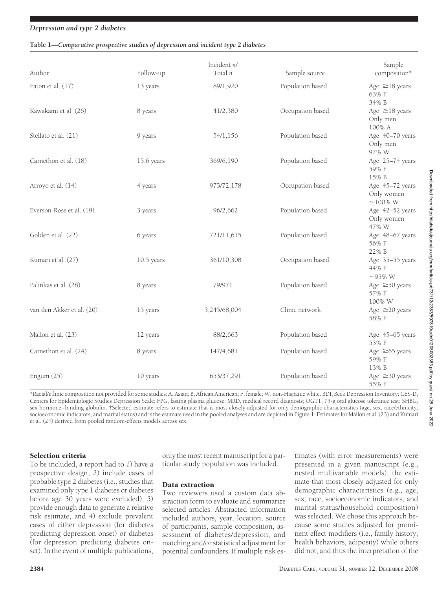#### **Table 1—***Comparative prospective studies of depression and incident type 2 diabetes*

| Author                    | Follow-up    | Incident n/<br>Total n | Sample source    | Sample<br>composition*                          |
|---------------------------|--------------|------------------------|------------------|-------------------------------------------------|
| Eaton et al. (17)         | 13 years     | 89/1,920               | Population based | Age: $\geq$ 18 years<br>63% F<br>34% B          |
| Kawakami et al. (26)      | 8 years      | 41/2,380               | Occupation based | Age: $\geq$ 18 years<br>Only men<br>100% A      |
| Stellato et al. (21)      | 9 years      | 54/1,156               | Population based | Age: 40-70 years<br>Only men<br>97% W           |
| Carnethon et al. (18)     | 15.6 years   | 369/6,190              | Population based | Age: 25-74 years<br>59% F<br>15% B              |
| Arroyo et al. (14)        | 4 years      | 973/72,178             | Occupation based | Age: 45-72 years<br>Only women<br>$\sim$ 100% W |
| Everson-Rose et al. (19)  | 3 years      | 96/2,662               | Population based | Age: 42-52 years<br>Only women<br>47% W         |
| Golden et al. (22)        | 6 years      | 721/11,615             | Population based | Age: 48-67 years<br>56% F<br>22% B              |
| Kumari et al. (27)        | $10.5$ years | 361/10,308             | Occupation based | Age: 35-55 years<br>44% F<br>$\sim$ 95% W       |
| Palinkas et al. (28)      | 8 years      | 79/971                 | Population based | Age: $\geq 50$ years<br>57% F<br>100% W         |
| van den Akker et al. (20) | 15 years     | 3,245/68,004           | Clinic network   | Age: ≥20 years<br>58% F                         |
| Mallon et al. (23)        | 12 years     | 88/2,663               | Population based | Age: 45-65 years<br>53% F                       |
| Carnethon et al. (24)     | 8 years      | 147/4,681              | Population based | Age: $\geq 65$ years<br>59% F<br>13% B          |
| Engum $(25)$              | 10 years     | 653/37,291             | Population based | Age: $\geq$ 30 years<br>55% F                   |

\*Racial/ethnic composition not provided for some studies: A, Asian; B, African American; F, female; W, non-Hispanic white. BDI, Beck Depression Inventory; CES-D, Centers for Epidemiologic Studies Depression Scale; FPG, fasting plasma glucose; MRD, medical record diagnosis; OGTT, 75-g oral glucose tolerance test; SHBG, sex hormone–binding globulin. †Selected estimate refers to estimate that is most closely adjusted for only demographic characteristics (age, sex, race/ethnicity, socioeconomic indicators, and marital status) and is the estimate used in the pooled analyses and are depicted in Figure 1. Estimates for Mallon et al. (23) and Kumari et al. (24) derived from pooled random-effects models across sex.

#### Selection criteria

To be included, a report had to *1*) have a prospective design, *2*) include cases of probable type 2 diabetes (i.e., studies that examined only type 1 diabetes or diabetes before age 30 years were excluded), *3*) provide enough data to generate a relative risk estimate, and *4*) exclude prevalent cases of either depression (for diabetes predicting depression onset) or diabetes (for depression predicting diabetes onset). In the event of multiple publications,

only the most recent manuscript for a particular study population was included.

#### Data extraction

Two reviewers used a custom data abstraction form to evaluate and summarize selected articles. Abstracted information included authors, year, location, source of participants, sample composition, assessment of diabetes/depression, and matching and/or statistical adjustment for potential confounders. If multiple risk estimates (with error measurements) were presented in a given manuscript (e.g., nested multivariable models), the estimate that most closely adjusted for only demographic characteristics (e.g., age, sex, race, socioeconomic indicators, and marital status/household composition) was selected. We chose this approach because some studies adjusted for prominent effect modifiers (i.e., family history, health behaviors, adiposity) while others did not, and thus the interpretation of the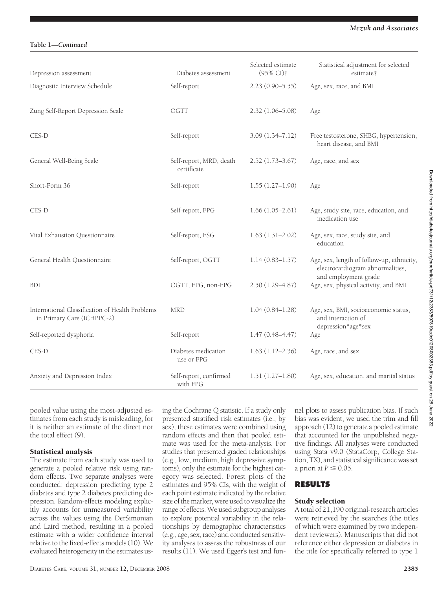# **Table 1—***Continued*

| Depression assessment                                                         | Diabetes assessment                    | Selected estimate<br>(95% CI)† | Statistical adjustment for selected<br>estimate†                                                      |
|-------------------------------------------------------------------------------|----------------------------------------|--------------------------------|-------------------------------------------------------------------------------------------------------|
| Diagnostic Interview Schedule                                                 | Self-report                            | $2.23(0.90 - 5.55)$            | Age, sex, race, and BMI                                                                               |
| Zung Self-Report Depression Scale                                             | OGTT                                   | $2.32(1.06 - 5.08)$            | Age                                                                                                   |
| CES-D                                                                         | Self-report                            | $3.09(1.34 - 7.12)$            | Free testosterone, SHBG, hypertension,<br>heart disease, and BMI                                      |
| General Well-Being Scale                                                      | Self-report, MRD, death<br>certificate | $2.52(1.73 - 3.67)$            | Age, race, and sex                                                                                    |
| Short-Form 36                                                                 | Self-report                            | $1.55(1.27-1.90)$              | Age                                                                                                   |
| CES-D                                                                         | Self-report, FPG                       | $1.66(1.05-2.61)$              | Age, study site, race, education, and<br>medication use                                               |
| Vital Exhaustion Questionnaire                                                | Self-report, FSG                       | $1.63(1.31-2.02)$              | Age, sex, race, study site, and<br>education                                                          |
| General Health Questionnaire                                                  | Self-report, OGTT                      | $1.14(0.83 - 1.57)$            | Age, sex, length of follow-up, ethnicity,<br>electrocardiogram abnormalities,<br>and employment grade |
| <b>BDI</b>                                                                    | OGTT, FPG, non-FPG                     | $2.50(1.29 - 4.87)$            | Age, sex, physical activity, and BMI                                                                  |
| International Classification of Health Problems<br>in Primary Care (ICHPPC-2) | <b>MRD</b>                             | $1.04(0.84 - 1.28)$            | Age, sex, BMI, socioeconomic status,<br>and interaction of<br>depression*age*sex                      |
| Self-reported dysphoria                                                       | Self-report                            | $1.47(0.48 - 4.47)$            | Age                                                                                                   |
| CES-D                                                                         | Diabetes medication<br>use or FPG      | $1.63(1.12 - 2.36)$            | Age, race, and sex                                                                                    |
| Anxiety and Depression Index                                                  | Self-report, confirmed<br>with FPG     | $1.51(1.27-1.80)$              | Age, sex, education, and marital status                                                               |

pooled value using the most-adjusted estimates from each study is misleading, for it is neither an estimate of the direct nor the total effect (9).

#### Statistical analysis

The estimate from each study was used to generate a pooled relative risk using random effects. Two separate analyses were conducted: depression predicting type 2 diabetes and type 2 diabetes predicting depression. Random-effects modeling explicitly accounts for unmeasured variability across the values using the DerSimonian and Laird method, resulting in a pooled estimate with a wider confidence interval relative to the fixed-effects models (10). We evaluated heterogeneity in the estimates using the Cochrane Q statistic. If a study only presented stratified risk estimates (i.e., by sex), these estimates were combined using random effects and then that pooled estimate was used for the meta-analysis. For studies that presented graded relationships (e.g., low, medium, high depressive symptoms), only the estimate for the highest category was selected. Forest plots of the estimates and 95% CIs, with the weight of each point estimate indicated by the relative size of the marker, were used to visualize the range of effects. We used subgroup analyses to explore potential variability in the relationships by demographic characteristics (e.g., age, sex, race) and conducted sensitivity analyses to assess the robustness of our results (11). We used Egger's test and funnel plots to assess publication bias. If such bias was evident, we used the trim and fill approach (12) to generate a pooled estimate that accounted for the unpublished negative findings. All analyses were conducted using Stata v9.0 (StataCorp, College Station, TX), and statistical significance was set a priori at  $P \leq 0.05$ .

# **RESULTS**

#### Study selection

A total of 21,190 original-research articles were retrieved by the searches (the titles of which were examined by two independent reviewers). Manuscripts that did not reference either depression or diabetes in the title (or specifically referred to type 1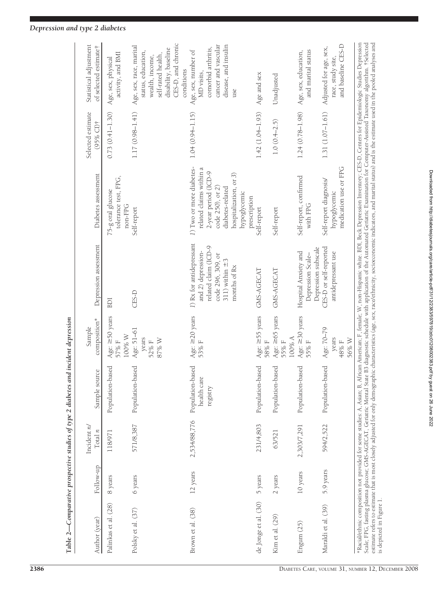|                          |           |                            | Table 2—Comparative prospective studies of type 2 diabetes and incident depression |                                         |                                                                                                                                    |                                                                                                                                                                                                                                                                                                                                                                                                                                                                                                                                                                                                                                                            |                                |                                                                                                                                                    |
|--------------------------|-----------|----------------------------|------------------------------------------------------------------------------------|-----------------------------------------|------------------------------------------------------------------------------------------------------------------------------------|------------------------------------------------------------------------------------------------------------------------------------------------------------------------------------------------------------------------------------------------------------------------------------------------------------------------------------------------------------------------------------------------------------------------------------------------------------------------------------------------------------------------------------------------------------------------------------------------------------------------------------------------------------|--------------------------------|----------------------------------------------------------------------------------------------------------------------------------------------------|
| Author (year)            | Follow-up | Incident $n/$<br>Total $n$ | Sample source                                                                      | composition*<br>Sample                  | Depression assessment                                                                                                              | Diabetes assessment                                                                                                                                                                                                                                                                                                                                                                                                                                                                                                                                                                                                                                        | Selected estimate<br>(95% CI)† | Statistical adjustment<br>of selected estimate <sup>†</sup>                                                                                        |
| Palinkas et al. (28)     | 8 years   | 118/971                    | Population-based                                                                   | Age: $\geq$ 50 years<br>100% W<br>57% F | BDI                                                                                                                                | tolerance test, FPG,<br>75-g oral glucose<br>non-FPG                                                                                                                                                                                                                                                                                                                                                                                                                                                                                                                                                                                                       | $0.73(0.41 - 1.30)$            | activity, and BMI<br>Age, sex, physical                                                                                                            |
| Polsky et al. (37)       | 6 years   | 571/8,387                  | Population-based                                                                   | Age: 51-61<br>years<br>87% W<br>52%F    | CES-D                                                                                                                              | Self-report                                                                                                                                                                                                                                                                                                                                                                                                                                                                                                                                                                                                                                                | 1.17 (0.98-1.41)               | CES-D, and chronic<br>Age, sex, race, marital<br>disability, baseline<br>status, education,<br>self-rated health,<br>wealth, income,<br>conditions |
| Brown et al. (38)        | 12 years  | 2,534/88,776               | Population-based<br>health care<br>registry                                        | Age: $\geq$ 20 years<br>53% F           | 1) Rx for antidepressant<br>related claim (ICD-9<br>and 2) depression-<br>code 296, 309, or<br>311) within $\pm$ 3<br>months of Rx | 1) Two or more diabetes-<br>related claims within a<br>2-year period (ICD-9<br>hospitalization, or 3)<br>diabetes-related<br>code 250), or 2<br>hypoglycemic                                                                                                                                                                                                                                                                                                                                                                                                                                                                                               | $1.04(0.94 - 1.15)$            | cancer and vascular<br>disease, and insulin<br>comorbid arthritis,<br>Age, sex, number of<br>MD visits,<br>use                                     |
| de Jonge et al. (30)     | 5 years   | 231/4,803                  | Population-based                                                                   | Age: $\geq$ 55 years<br>58% F           | GMS-AGECAT                                                                                                                         | prescription<br>Self-report                                                                                                                                                                                                                                                                                                                                                                                                                                                                                                                                                                                                                                | $1.42(1.04 - 1.93)$            | Age and sex                                                                                                                                        |
| Kim et al. (29)          | 2 years   | 63/521                     | Population-based                                                                   | Age: $\ge 65$ years<br>100% A<br>55% F  | GMS-AGECAT                                                                                                                         | Self-report                                                                                                                                                                                                                                                                                                                                                                                                                                                                                                                                                                                                                                                | $1.0(0.4-2.5)$                 | Unadjusted                                                                                                                                         |
| Engum (25)               | 10 years  | 2,303/7,291                | Population-based                                                                   | Age: $\geq$ 30 years<br>55%F            | Depression subscale<br>Hospital Anxiety and<br>Depression Scale-                                                                   | Self-report, confirmed<br>with FPG                                                                                                                                                                                                                                                                                                                                                                                                                                                                                                                                                                                                                         | $1.24(0.78 - 1.98)$            | and marital status<br>Age, sex, education,                                                                                                         |
| Maraldi et al. (39)      | 5.9 years | 594/2,522                  | Population-based                                                                   | Age: 70-79<br>years<br>56% W<br>48% F   | CES-D or self-reported<br>antidepressant use                                                                                       | medication use or FPG<br>Self-report diagnosis/<br>hypoglycemic                                                                                                                                                                                                                                                                                                                                                                                                                                                                                                                                                                                            | $1.31(1.07 - 1.61)$            | and baseline CES-D<br>Adjusted for age, sex,<br>race, study site,                                                                                  |
| is depicted in Figure 1. |           |                            |                                                                                    |                                         |                                                                                                                                    | *Racial/ethnic composition not provided for some studies: A, Asian; B, African American; F, female; W, non-Hispanic white. BDI, Beck Depression Inventory; CES-D, Centers for Epidemiologic Studies Depression<br>Scale; FPG, fasting plasma glucose; GMS-AGECAT, Geriatric Mental State B3 diagnostic schedule with application of the Automated Geriatric Examination for Computer-Assisted Taxonomy algorithm. †Selected<br>estimate refers to estimate that is most closely adjusted for only demographic characteristics (age, sex, race/ethnicity, socioeconomic indicators, and marital status) and is the estimate used in the pooled analyses and |                                |                                                                                                                                                    |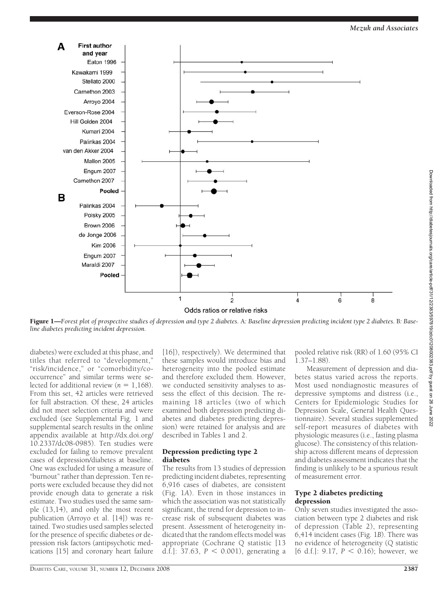

Figure 1—*Forest plot of prospective studies of depression and type 2 diabetes.* A*: Baseline depression predicting incident type 2 diabetes.* B*: Baseline diabetes predicting incident depression.*

diabetes) were excluded at this phase, and titles that referred to "development," "risk/incidence," or "comorbidity/cooccurrence" and similar terms were selected for additional review  $(n = 1,168)$ . From this set, 42 articles were retrieved for full abstraction. Of these, 24 articles did not meet selection criteria and were excluded (see Supplemental Fig. 1 and supplemental search results in the online appendix available at http://dx.doi.org/ 10.2337/dc08-0985). Ten studies were excluded for failing to remove prevalent cases of depression/diabetes at baseline. One was excluded for using a measure of "burnout" rather than depression. Ten reports were excluded because they did not provide enough data to generate a risk estimate. Two studies used the same sample (13,14), and only the most recent publication (Arroyo et al. [14]) was retained. Two studies used samples selected for the presence of specific diabetes or depression risk factors (antipsychotic medications [15] and coronary heart failure

[16]), respectively). We determined that these samples would introduce bias and heterogeneity into the pooled estimate and therefore excluded them. However, we conducted sensitivity analyses to assess the effect of this decision. The remaining 18 articles (two of which examined both depression predicting diabetes and diabetes predicting depression) were retained for analysis and are described in Tables 1 and 2.

#### Depression predicting type 2 diabetes

The results from 13 studies of depression predicting incident diabetes, representing 6,916 cases of diabetes, are consistent (Fig. 1*A*). Even in those instances in which the association was not statistically significant, the trend for depression to increase risk of subsequent diabetes was present. Assessment of heterogeneity indicated that the random effects model was appropriate (Cochrane Q statistic [13 d.f.]:  $37.63$ ,  $P < 0.001$ ), generating a

pooled relative risk (RR) of 1.60 (95% CI 1.37–1.88).

Measurement of depression and diabetes status varied across the reports. Most used nondiagnostic measures of depressive symptoms and distress (i.e., Centers for Epidemiologic Studies for Depression Scale, General Health Questionnaire). Several studies supplemented self-report measures of diabetes with physiologic measures (i.e., fasting plasma glucose). The consistency of this relationship across different means of depression and diabetes assessment indicates that the finding is unlikely to be a spurious result of measurement error.

#### Type 2 diabetes predicting depression

Only seven studies investigated the association between type 2 diabetes and risk of depression (Table 2), representing 6,414 incident cases (Fig. 1*B*). There was no evidence of heterogeneity (Q statistic [6 d.f.]:  $9.17, P \le 0.16$ ); however, we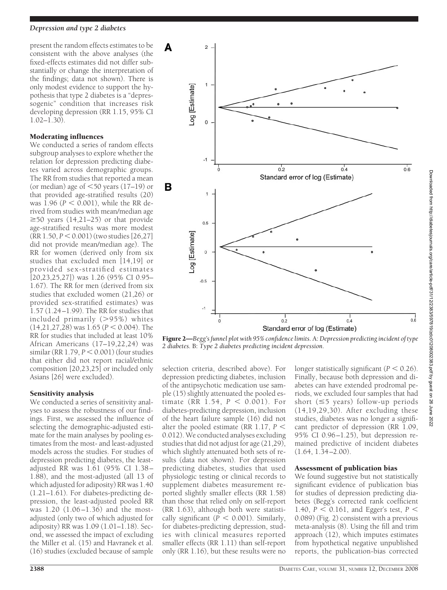present the random effects estimates to be consistent with the above analyses (the fixed-effects estimates did not differ substantially or change the interpretation of the findings; data not shown). There is only modest evidence to support the hypothesis that type 2 diabetes is a "depressogenic" condition that increases risk developing depression (RR 1.15, 95% CI 1.02–1.30).

## Moderating influences

We conducted a series of random effects subgroup analyses to explore whether the relation for depression predicting diabetes varied across demographic groups. The RR from studies that reported a mean (or median) age of  $\leq 50$  years (17–19) or that provided age-stratified results (20) was  $1.96$  ( $P < 0.001$ ), while the RR derived from studies with mean/median age  $\geq$ 50 years (14,21–25) or that provide age-stratified results was more modest  $(RR\ 1.50, P \leq 0.001)$  (two studies [26,27] did not provide mean/median age). The RR for women (derived only from six studies that excluded men [14,19] or provided sex-stratified estimates [20,23,25,27]) was 1.26 (95% CI 0.95– 1.67). The RR for men (derived from six studies that excluded women (21,26) or provided sex-stratified estimates) was 1.57 (1.24–1.99). The RR for studies that included primarily (95%) whites  $(14,21,27,28)$  was  $1.65$  ( $P < 0.004$ ). The RR for studies that included at least 10% African Americans (17–19,22,24) was  $similar (RR 1.79, P < 0.001)$  (four studies that either did not report racial/ethnic composition [20,23,25] or included only Asians [26] were excluded).

# Sensitivity analysis

We conducted a series of sensitivity analyses to assess the robustness of our findings. First, we assessed the influence of selecting the demographic-adjusted estimate for the main analyses by pooling estimates from the most- and least-adjusted models across the studies. For studies of depression predicting diabetes, the leastadjusted RR was 1.61 (95% CI 1.38– 1.88), and the most-adjusted (all 13 of which adjusted for adiposity) RR was 1.40 (1.21–1.61). For diabetes-predicting depression, the least-adjusted pooled RR was 1.20 (1.06–1.36) and the mostadjusted (only two of which adjusted for adiposity) RR was 1.09 (1.01–1.18). Second, we assessed the impact of excluding the Miller et al. (15) and Havranek et al. (16) studies (excluded because of sample



Figure 2—*Begg's funnel plot with 95% confidence limits.* A:*Depression predicting incident of type 2 diabetes.* B: *Type 2 diabetes predicting incident depression.*

selection criteria, described above). For depression predicting diabetes, inclusion of the antipsychotic medication use sample (15) slightly attenuated the pooled estimate (RR  $1.54, P < 0.001$ ). For diabetes-predicting depression, inclusion of the heart failure sample (16) did not alter the pooled estimate (RR 1.17,  $P \leq$ 0.012). We conducted analyses excluding studies that did not adjust for age (21,29), which slightly attenuated both sets of results (data not shown). For depression predicting diabetes, studies that used physiologic testing or clinical records to supplement diabetes measurement reported slightly smaller effects (RR 1.58) than those that relied only on self-report (RR 1.63), although both were statistically significant ( $\overline{P}$  < 0.001). Similarly, for diabetes-predicting depression, studies with clinical measures reported smaller effects (RR 1.11) than self-report only (RR 1.16), but these results were no

longer statistically significant  $(P < 0.26)$ . Finally, because both depression and diabetes can have extended prodromal periods, we excluded four samples that had short ( $\leq$ 5 years) follow-up periods (14,19,29,30). After excluding these studies, diabetes was no longer a significant predictor of depression (RR 1.09, 95% CI 0.96–1.25), but depression remained predictive of incident diabetes  $(1.64, 1.\overline{3}4 - 2.00)$ .

#### Assessment of publication bias

We found suggestive but not statistically significant evidence of publication bias for studies of depression predicting diabetes (Begg's corrected rank coefficient 1.40,  $P < 0.161$ , and Egger's test,  $P <$ 0.089) (Fig. 2) consistent with a previous meta-analysis (8). Using the fill and trim approach (12), which imputes estimates from hypothetical negative unpublished reports, the publication-bias corrected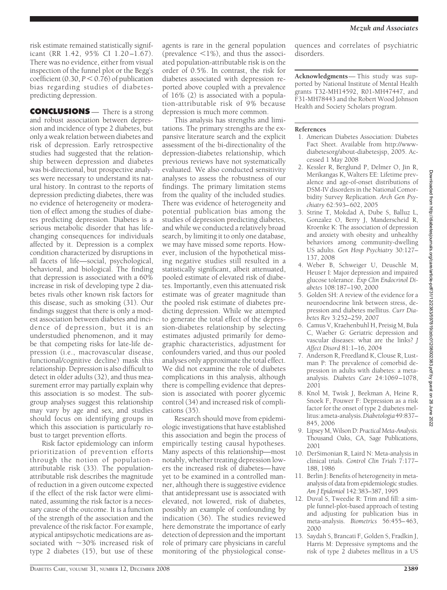risk estimate remained statistically significant (RR 1.42, 95% CI 1.20–1.67). There was no evidence, either from visual inspection of the funnel plot or the Begg's coefficient  $(0.30, P \le 0.76)$  of publication bias regarding studies of diabetespredicting depression.

**CONCLUSIONS** — There is a strong and robust association between depression and incidence of type 2 diabetes, but only a weak relation between diabetes and risk of depression. Early retrospective studies had suggested that the relationship between depression and diabetes was bi-directional, but prospective analyses were necessary to understand its natural history. In contrast to the reports of depression predicting diabetes, there was no evidence of heterogeneity or moderation of effect among the studies of diabetes predicting depression. Diabetes is a serious metabolic disorder that has lifechanging consequences for individuals affected by it. Depression is a complex condition characterized by disruptions in all facets of life—social, psychological, behavioral, and biological. The finding that depression is associated with a 60% increase in risk of developing type 2 diabetes rivals other known risk factors for this disease, such as smoking (31). Our findings suggest that there is only a modest association between diabetes and incidence of depression, but it is an understudied phenomenon, and it may be that competing risks for late-life depression (i.e., macrovascular disease, functional/cognitive decline) mask this relationship. Depression is also difficult to detect in older adults (32), and thus measurement error may partially explain why this association is so modest. The subgroup analyses suggest this relationship may vary by age and sex, and studies should focus on identifying groups in which this association is particularly robust to target prevention efforts.

Risk factor epidemiology can inform prioritization of prevention efforts through the notion of populationattributable risk (33). The populationattributable risk describes the magnitude of reduction in a given outcome expected if the effect of the risk factor were eliminated, assuming the risk factor is a necessary cause of the outcome. It is a function of the strength of the association and the prevalence of the risk factor. For example, atypical antipsychotic medications are associated with  $\sim$ 30% increased risk of type 2 diabetes (15), but use of these

agents is rare in the general population (prevalence  $\leq 1\%$ ), and thus the associated population-attributable risk is on the order of 0.5%. In contrast, the risk for diabetes associated with depression reported above coupled with a prevalence of 16% (2) is associated with a population-attributable risk of 9% because depression is much more common.

This analysis has strengths and limitations. The primary strengths are the expansive literature search and the explicit assessment of the bi-directionality of the depression-diabetes relationship, which previous reviews have not systematically evaluated. We also conducted sensitivity analyses to assess the robustness of our findings. The primary limitation stems from the quality of the included studies. There was evidence of heterogeneity and potential publication bias among the studies of depression predicting diabetes, and while we conducted a relatively broad search, by limiting it to only one database, we may have missed some reports. However, inclusion of the hypothetical missing negative studies still resulted in a statistically significant, albeit attenuated, pooled estimate of elevated risk of diabetes. Importantly, even this attenuated risk estimate was of greater magnitude than the pooled risk estimate of diabetes predicting depression. While we attempted to generate the total effect of the depression-diabetes relationship by selecting estimates adjusted primarily for demographic characteristics, adjustment for confounders varied, and thus our pooled analyses only approximate the total effect. We did not examine the role of diabetes complications in this analysis, although there is compelling evidence that depression is associated with poorer glycemic control (34) and increased risk of complications (35).

Research should move from epidemiologic investigations that have established this association and begin the process of empirically testing causal hypotheses. Many aspects of this relationship—most notably, whether treating depression lowers the increased risk of diabetes—have yet to be examined in a controlled manner, although there is suggestive evidence that antidepressant use is associated with elevated, not lowered, risk of diabetes, possibly an example of confounding by indication (36). The studies reviewed here demonstrate the importance of early detection of depression and the important role of primary care physicians in careful monitoring of the physiological consequences and correlates of psychiatric disorders.

**Acknowledgments**— This study was supported by National Institute of Mental Health grants T32-MH14592, R01-MH47447, and F31-MH78443 and the Robert Wood Johnson Health and Society Scholars program.

#### **References**

- 1. American Diabetes Association: Diabetes Fact Sheet. Available from http://wwwdiabetesorg/about-diabetesjsp, 2005. Accessed 1 May 2008
- 2. Kessler R, Berglund P, Delmer O, Jin R, Merikangas K, Walters EE: Lifetime prevalence and age-of-onset distributions of DSM-IV disorders in the National Comorbidity Survey Replication. *Arch Gen Psychiatry* 62:593–602, 2005
- 3. Strine T, Mokdad A, Dube S, Balluz L, Gonzalez O, Berry J, Manderscheid R, Kroenke K: The association of depression and anxiety with obesity and unhealthy behaviors among community-dwelling US adults. *Gen Hosp Psychiatry* 30:127– 137, 2008
- 4. Weber B, Schweiger U, Deuschle M, Heuser I: Major depression and impaired glucose tolerance. *Exp Clin Endocrinol Diabetes* 108:187–190, 2000
- 5. Golden SH: A review of the evidence for a neuroendocrine link between stress, depression and diabetes mellitus. *Curr Diabetes Rev* 3:252–259, 2007
- 6. Camus V, Kraehenbuhl H, Preisig M, Bula C, Waeber G: Geriatric depression and vascular diseases: what are the links? *J Affect Disord* 81:1–16, 2004
- 7. Anderson R, Freedland K, Clouse R, Lustman P: The prevalence of comorbid depression in adults with diabetes: a metaanalysis. *Diabetes Care* 24:1069–1078, 2001
- 8. Knol M, Twisk J, Beekman A, Heine R, Snoek F, Pouwer F: Depression as a risk factor for the onset of type 2 diabetes mellitus:ameta-analysis.*Diabetologia*49:837– 845, 2006
- 9. Lipsey M, Wilson D: *Practical Meta-Analysis.* Thousand Oaks, CA, Sage Publications, 2001
- 10. DerSimonian R, Laird N: Meta-analysis in clinical trials. *Control Clin Trials* 7:177– 188, 1986
- 11. Berlin J: Benefits of heterogeneity in metaanalysis of data from epidemiologic studies. *Am J Epidemiol* 142:383–387, 1995
- 12. Duval S, Tweedie R: Trim and fill: a simple funnel-plot-based approach of testing and adjusting for publication bias in meta-analysis. *Biometrics* 56:455–463, 2000
- 13. Saydah S, Brancati F, Golden S, Fradkin J, Harris M: Depressive symptoms and the risk of type 2 diabetes mellitus in a US